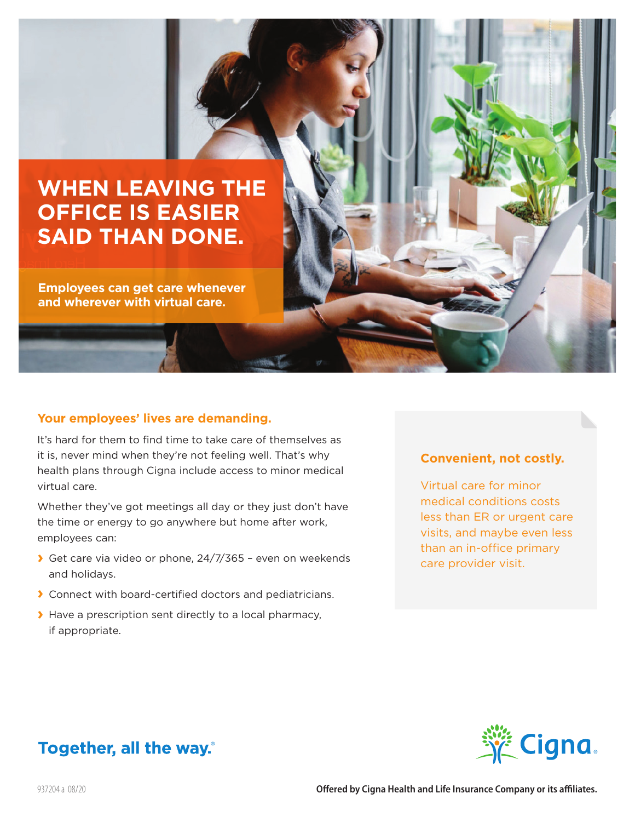# **WHEN LEAVING THE OFFICE IS EASIER SAID THAN DONE.**

**Employees can get care whenever and wherever with virtual care.**

#### **Your employees' lives are demanding.**

It's hard for them to find time to take care of themselves as it is, never mind when they're not feeling well. That's why health plans through Cigna include access to minor medical virtual care.

Whether they've got meetings all day or they just don't have the time or energy to go anywhere but home after work, employees can:

- **›** Get care via video or phone, 24/7/365 even on weekends and holidays.
- **›** Connect with board-certified doctors and pediatricians.
- **›** Have a prescription sent directly to a local pharmacy, if appropriate.

## **Convenient, not costly.**

Virtual care for minor medical conditions costs less than ER or urgent care visits, and maybe even less than an in-office primary care provider visit.